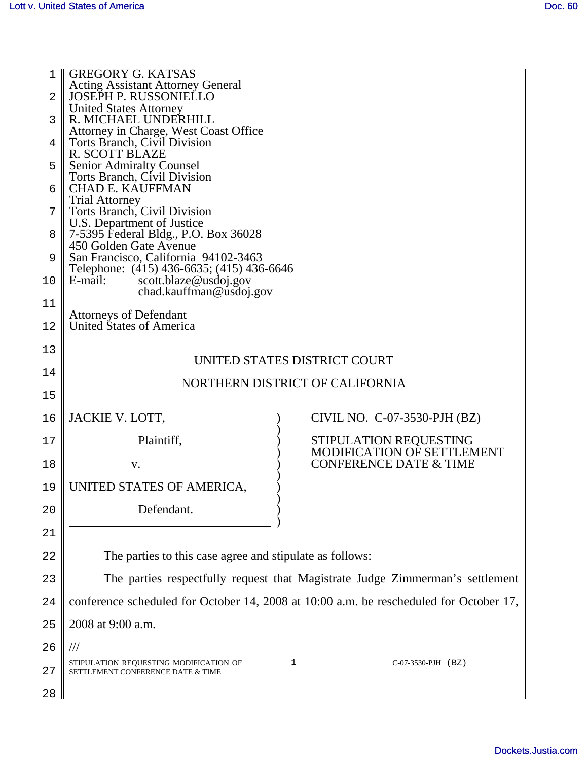| 1  | <b>GREGORY G. KATSAS</b><br><b>Acting Assistant Attorney General</b>                                   |  |  |  |  |
|----|--------------------------------------------------------------------------------------------------------|--|--|--|--|
| 2  | <b>JOSEPH P. RUSSONIELLO</b>                                                                           |  |  |  |  |
| 3  | <b>United States Attorney</b><br>R. MICHAEL UNDERHILL                                                  |  |  |  |  |
| 4  | Attorney in Charge, West Coast Office<br>Torts Branch, Civil Division                                  |  |  |  |  |
|    | <b>R. SCOTT BLAZE</b>                                                                                  |  |  |  |  |
| 5  | <b>Senior Admiralty Counsel</b><br>Torts Branch, Civil Division                                        |  |  |  |  |
| 6  | <b>CHAD E. KAUFFMAN</b><br><b>Trial Attorney</b>                                                       |  |  |  |  |
| 7  | Torts Branch, Civil Division<br>U.S. Department of Justice                                             |  |  |  |  |
| 8  | 7-5395 Federal Bldg., P.O. Box 36028                                                                   |  |  |  |  |
| 9  | 450 Golden Gate Avenue<br>San Francisco, California 94102-3463                                         |  |  |  |  |
| 10 | Telephone: (415) 436-6635; (415) 436-6646<br>scott.blaze@usdoj.gov<br>E-mail:                          |  |  |  |  |
| 11 | chad.kauffman@usdoj.gov                                                                                |  |  |  |  |
| 12 | <b>Attorneys of Defendant</b><br>United States of America                                              |  |  |  |  |
|    |                                                                                                        |  |  |  |  |
| 13 | UNITED STATES DISTRICT COURT                                                                           |  |  |  |  |
| 14 | NORTHERN DISTRICT OF CALIFORNIA                                                                        |  |  |  |  |
| 15 |                                                                                                        |  |  |  |  |
| 16 | JACKIE V. LOTT,<br>CIVIL NO. C-07-3530-PJH (BZ)                                                        |  |  |  |  |
| 17 | Plaintiff,<br>STIPULATION REQUESTING<br>MODIFICATION OF SETTLEMENT                                     |  |  |  |  |
| 18 | <b>CONFERENCE DATE &amp; TIME</b><br>V.                                                                |  |  |  |  |
| 19 | UNITED STATES OF AMERICA,                                                                              |  |  |  |  |
| 20 | Defendant.                                                                                             |  |  |  |  |
| 21 |                                                                                                        |  |  |  |  |
| 22 | The parties to this case agree and stipulate as follows:                                               |  |  |  |  |
| 23 | The parties respectfully request that Magistrate Judge Zimmerman's settlement                          |  |  |  |  |
| 24 | conference scheduled for October 14, 2008 at 10:00 a.m. be rescheduled for October 17,                 |  |  |  |  |
| 25 | 2008 at 9:00 a.m.                                                                                      |  |  |  |  |
| 26 | $^{\prime\prime\prime}$                                                                                |  |  |  |  |
| 27 | 1<br>C-07-3530-PJH (BZ)<br>STIPULATION REQUESTING MODIFICATION OF<br>SETTLEMENT CONFERENCE DATE & TIME |  |  |  |  |
| 28 |                                                                                                        |  |  |  |  |
|    |                                                                                                        |  |  |  |  |